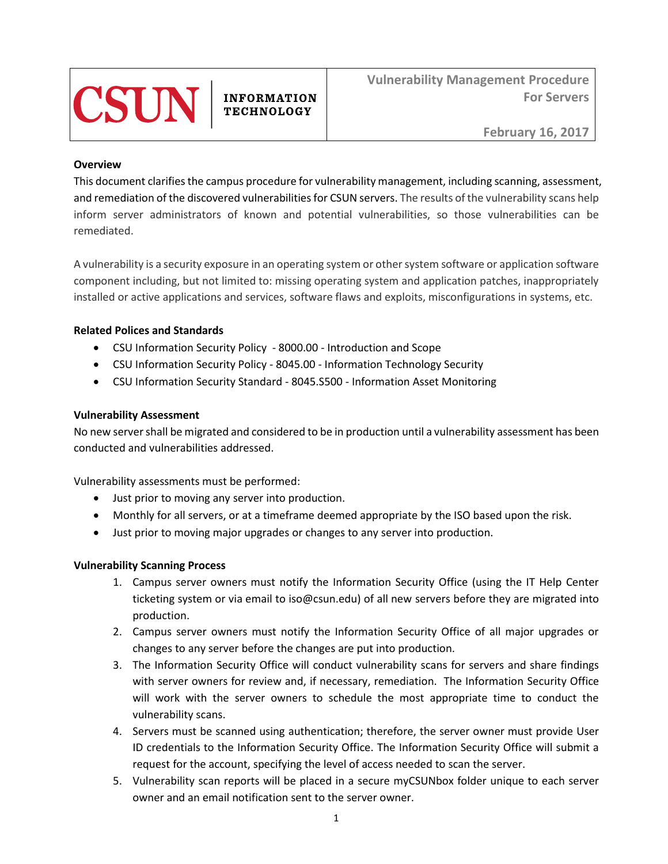

**INFORMATION TECHNOLOGY** 

#### **Overview**

This document clarifies the campus procedure for vulnerability management, including scanning, assessment, and remediation of the discovered vulnerabilities for CSUN servers. The results of the vulnerability scans help inform server administrators of known and potential vulnerabilities, so those vulnerabilities can be remediated.

A vulnerability is a security exposure in an operating system or other system software or application software component including, but not limited to: missing operating system and application patches, inappropriately installed or active applications and services, software flaws and exploits, misconfigurations in systems, etc.

# **Related Polices and Standards**

- CSU Information Security Policy 8000.00 Introduction and Scope
- CSU Information Security Policy 8045.00 Information Technology Security
- CSU Information Security Standard 8045.S500 Information Asset Monitoring

### **Vulnerability Assessment**

No new server shall be migrated and considered to be in production until a vulnerability assessment has been conducted and vulnerabilities addressed.

Vulnerability assessments must be performed:

- Just prior to moving any server into production.
- Monthly for all servers, or at a timeframe deemed appropriate by the ISO based upon the risk.
- Just prior to moving major upgrades or changes to any server into production.

### **Vulnerability Scanning Process**

- 1. Campus server owners must notify the Information Security Office (using the IT Help Center ticketing system or via email to iso@csun.edu) of all new servers before they are migrated into production.
- 2. Campus server owners must notify the Information Security Office of all major upgrades or changes to any server before the changes are put into production.
- 3. The Information Security Office will conduct vulnerability scans for servers and share findings with server owners for review and, if necessary, remediation. The Information Security Office will work with the server owners to schedule the most appropriate time to conduct the vulnerability scans.
- 4. Servers must be scanned using authentication; therefore, the server owner must provide User ID credentials to the Information Security Office. The Information Security Office will submit a request for the account, specifying the level of access needed to scan the server.
- 5. Vulnerability scan reports will be placed in a secure myCSUNbox folder unique to each server owner and an email notification sent to the server owner.